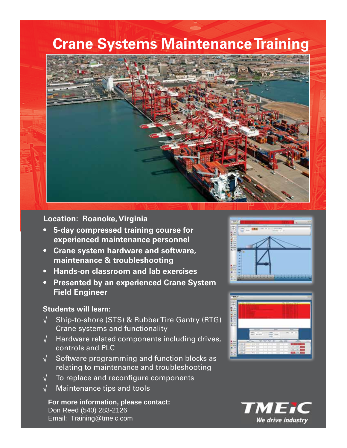# **Crane Systems Maintenance Training**



### **Location: Roanoke, Virginia**

- **5-day compressed training course for experienced maintenance personnel**
- **Crane system hardware and software, maintenance & troubleshooting**
- **Hands-on classroom and lab exercises**
- **Presented by an experienced Crane System Field Engineer**

### **Students will learn:**

- $\sqrt{ }$  Ship-to-shore (STS) & Rubber Tire Gantry (RTG) Crane systems and functionality
- √ Hardware related components including drives, controls and PLC
- $\sqrt{\phantom{a}}$  Software programming and function blocks as relating to maintenance and troubleshooting
- $\sqrt{\phantom{a}}$  To replace and reconfigure components
- √ Maintenance tips and tools

**For more information, please contact:** Don Reed (540) 283-2126 Email: Training@tmeic.com





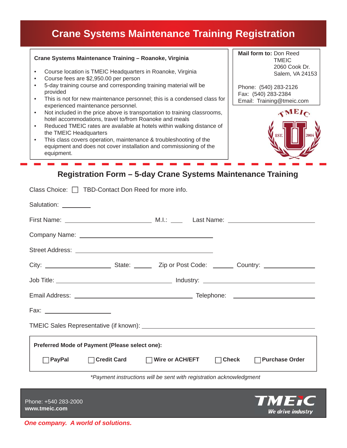# **Crane Systems Maintenance Training Registration**

| Crane Systems Maintenance Training - Roanoke, Virginia                                                                                                | Mail form to: Don Reed<br><b>TMEIC</b>       |
|-------------------------------------------------------------------------------------------------------------------------------------------------------|----------------------------------------------|
| Course location is TMEIC Headquarters in Roanoke, Virginia<br>Course fees are \$2,950.00 per person                                                   | 2060 Cook Dr.<br>Salem, VA 24153             |
| 5-day training course and corresponding training material will be<br>provided                                                                         | Phone: (540) 283-2126<br>Fax: (540) 283-2384 |
| This is not for new maintenance personnel; this is a condensed class for<br>$\bullet$<br>experienced maintenance personnel.                           | Email: Training@tmeic.com                    |
| Not included in the price above is transportation to training classrooms,<br>$\bullet$<br>hotel accommodations, travel to/from Roanoke and meals      |                                              |
| Reduced TMEIC rates are available at hotels within walking distance of<br>the TMEIC Headquarters                                                      | <b>EST.</b>                                  |
| This class covers operation, maintenance & troubleshooting of the<br>equipment and does not cover installation and commissioning of the<br>equipment. |                                              |
|                                                                                                                                                       |                                              |

### **Registration Form – 5-day Crane Systems Maintenance Training**

| Class Choice: $\Box$ TBD-Contact Don Reed for more info.            |  |                                 |        |                             |  |  |
|---------------------------------------------------------------------|--|---------------------------------|--------|-----------------------------|--|--|
| Salutation: _________                                               |  |                                 |        |                             |  |  |
|                                                                     |  |                                 |        |                             |  |  |
|                                                                     |  |                                 |        |                             |  |  |
|                                                                     |  |                                 |        |                             |  |  |
|                                                                     |  |                                 |        |                             |  |  |
|                                                                     |  |                                 |        |                             |  |  |
|                                                                     |  |                                 |        |                             |  |  |
| Fax: _________________________                                      |  |                                 |        |                             |  |  |
|                                                                     |  |                                 |        |                             |  |  |
| Preferred Mode of Payment (Please select one):                      |  |                                 |        |                             |  |  |
| $\Box$ PayPal                                                       |  | □ Credit Card □ Nire or ACH/EFT | $\Box$ | Check $\Box$ Purchase Order |  |  |
| *Payment instructions will be sent with registration acknowledgment |  |                                 |        |                             |  |  |
|                                                                     |  |                                 |        | - - - - -                   |  |  |



### *One company. A world of solutions.*